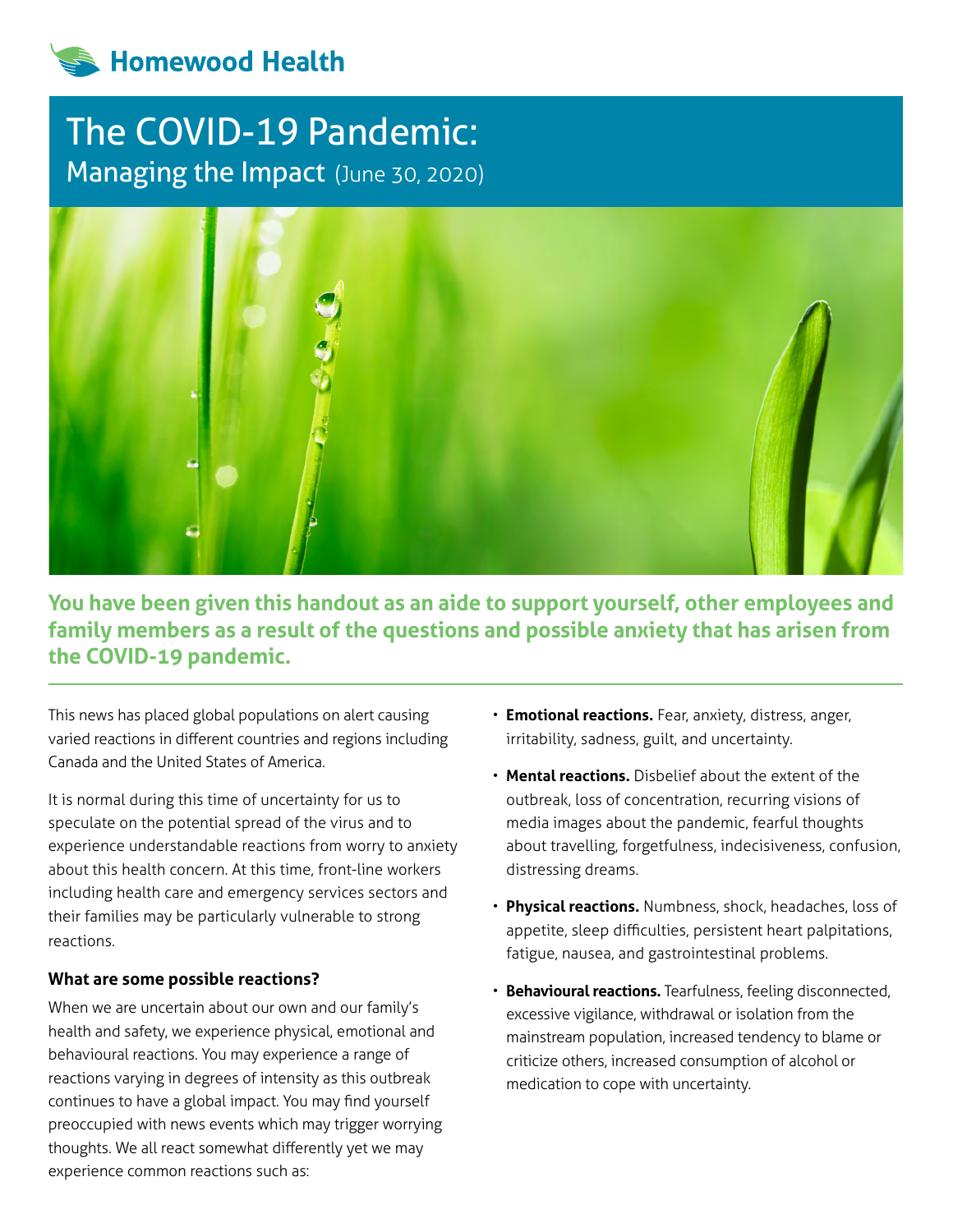# **Homewood Health**

# The COVID-19 Pandemic: Managing the Impact (June 30, 2020)



**You have been given this handout as an aide to support yourself, other employees and family members as a result of the questions and possible anxiety that has arisen from the COVID-19 pandemic.**

This news has placed global populations on alert causing varied reactions in different countries and regions including Canada and the United States of America.

It is normal during this time of uncertainty for us to speculate on the potential spread of the virus and to experience understandable reactions from worry to anxiety about this health concern. At this time, front-line workers including health care and emergency services sectors and their families may be particularly vulnerable to strong reactions.

#### **What are some possible reactions?**

When we are uncertain about our own and our family's health and safety, we experience physical, emotional and behavioural reactions. You may experience a range of reactions varying in degrees of intensity as this outbreak continues to have a global impact. You may find yourself preoccupied with news events which may trigger worrying thoughts. We all react somewhat differently yet we may experience common reactions such as:

- **Emotional reactions.** Fear, anxiety, distress, anger, irritability, sadness, guilt, and uncertainty.
- **Mental reactions.** Disbelief about the extent of the outbreak, loss of concentration, recurring visions of media images about the pandemic, fearful thoughts about travelling, forgetfulness, indecisiveness, confusion, distressing dreams.
- **Physical reactions.** Numbness, shock, headaches, loss of appetite, sleep difficulties, persistent heart palpitations, fatigue, nausea, and gastrointestinal problems.
- **Behavioural reactions.** Tearfulness, feeling disconnected, excessive vigilance, withdrawal or isolation from the mainstream population, increased tendency to blame or criticize others, increased consumption of alcohol or medication to cope with uncertainty.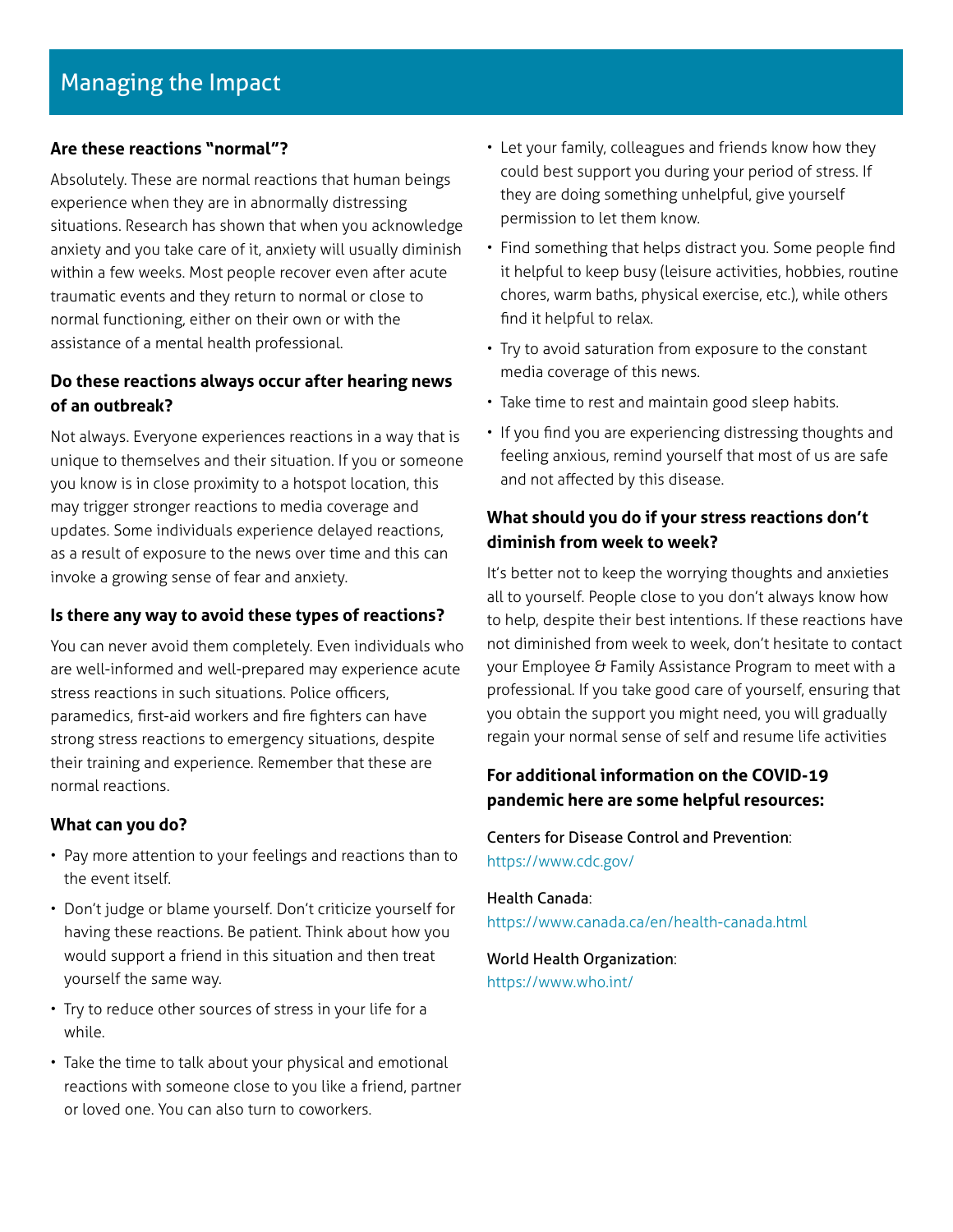# **Are these reactions "normal"?**

Absolutely. These are normal reactions that human beings experience when they are in abnormally distressing situations. Research has shown that when you acknowledge anxiety and you take care of it, anxiety will usually diminish within a few weeks. Most people recover even after acute traumatic events and they return to normal or close to normal functioning, either on their own or with the assistance of a mental health professional.

# **Do these reactions always occur after hearing news of an outbreak?**

Not always. Everyone experiences reactions in a way that is unique to themselves and their situation. If you or someone you know is in close proximity to a hotspot location, this may trigger stronger reactions to media coverage and updates. Some individuals experience delayed reactions, as a result of exposure to the news over time and this can invoke a growing sense of fear and anxiety.

# **Is there any way to avoid these types of reactions?**

You can never avoid them completely. Even individuals who are well-informed and well-prepared may experience acute stress reactions in such situations. Police officers, paramedics, first-aid workers and fire fighters can have strong stress reactions to emergency situations, despite their training and experience. Remember that these are normal reactions.

# **What can you do?**

- Pay more attention to your feelings and reactions than to the event itself.
- Don't judge or blame yourself. Don't criticize yourself for having these reactions. Be patient. Think about how you would support a friend in this situation and then treat yourself the same way.
- Try to reduce other sources of stress in your life for a while.
- Take the time to talk about your physical and emotional reactions with someone close to you like a friend, partner or loved one. You can also turn to coworkers.
- Let your family, colleagues and friends know how they could best support you during your period of stress. If they are doing something unhelpful, give yourself permission to let them know.
- Find something that helps distract you. Some people find it helpful to keep busy (leisure activities, hobbies, routine chores, warm baths, physical exercise, etc.), while others find it helpful to relax.
- Try to avoid saturation from exposure to the constant media coverage of this news.
- Take time to rest and maintain good sleep habits.
- If you find you are experiencing distressing thoughts and feeling anxious, remind yourself that most of us are safe and not affected by this disease.

# **What should you do if your stress reactions don't diminish from week to week?**

It's better not to keep the worrying thoughts and anxieties all to yourself. People close to you don't always know how to help, despite their best intentions. If these reactions have not diminished from week to week, don't hesitate to contact your Employee & Family Assistance Program to meet with a professional. If you take good care of yourself, ensuring that you obtain the support you might need, you will gradually regain your normal sense of self and resume life activities

# **For additional information on the COVID-19 pandemic here are some helpful resources:**

# Centers for Disease Control and Prevention: <https://www.cdc.gov/>

Health Canada: <https://www.canada.ca/en/health-canada.html>

World Health Organization: <https://www.who.int/>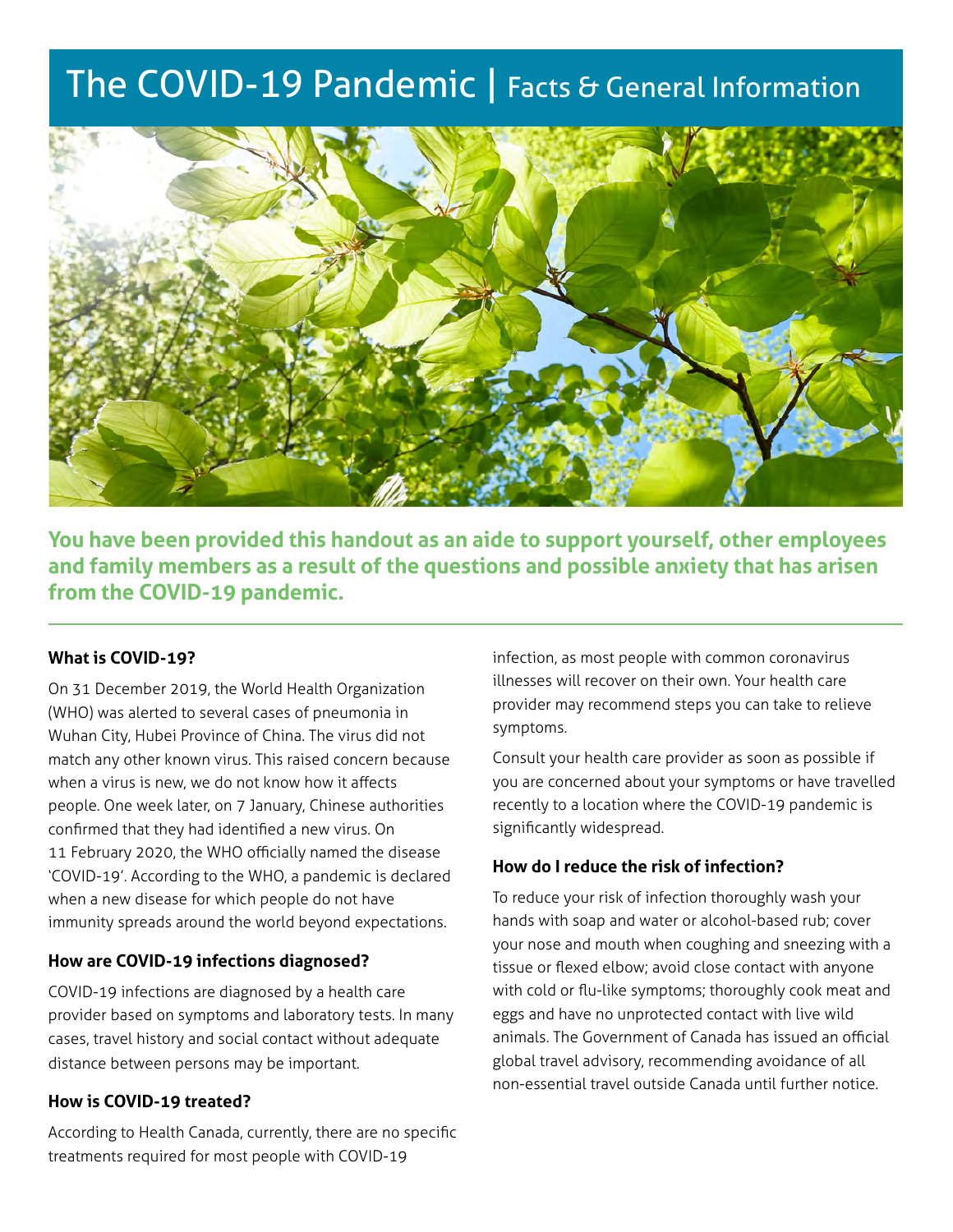# The COVID-19 Pandemic | Facts & General Information



**You have been provided this handout as an aide to support yourself, other employees and family members as a result of the questions and possible anxiety that has arisen from the COVID-19 pandemic.**

### **What is COVID-19?**

On 31 December 2019, the World Health Organization (WHO) was alerted to several cases of pneumonia in Wuhan City, Hubei Province of China. The virus did not match any other known virus. This raised concern because when a virus is new, we do not know how it affects people. One week later, on 7 January, Chinese authorities confirmed that they had identified a new virus. On 11 February 2020, the WHO officially named the disease 'COVID-19'. According to the WHO, a pandemic is declared when a new disease for which people do not have immunity spreads around the world beyond expectations.

#### **How are COVID-19 infections diagnosed?**

COVID-19 infections are diagnosed by a health care provider based on symptoms and laboratory tests. In many cases, travel history and social contact without adequate distance between persons may be important.

#### **How is COVID-19 treated?**

According to Health Canada, currently, there are no specific treatments required for most people with COVID-19

infection, as most people with common coronavirus illnesses will recover on their own. Your health care provider may recommend steps you can take to relieve symptoms.

Consult your health care provider as soon as possible if you are concerned about your symptoms or have travelled recently to a location where the COVID-19 pandemic is significantly widespread.

#### **How do I reduce the risk of infection?**

To reduce your risk of infection thoroughly wash your hands with soap and water or alcohol-based rub; cover your nose and mouth when coughing and sneezing with a tissue or flexed elbow; avoid close contact with anyone with cold or flu-like symptoms; thoroughly cook meat and eggs and have no unprotected contact with live wild animals. The Government of Canada has issued an official global travel advisory, recommending avoidance of all non-essential travel outside Canada until further notice.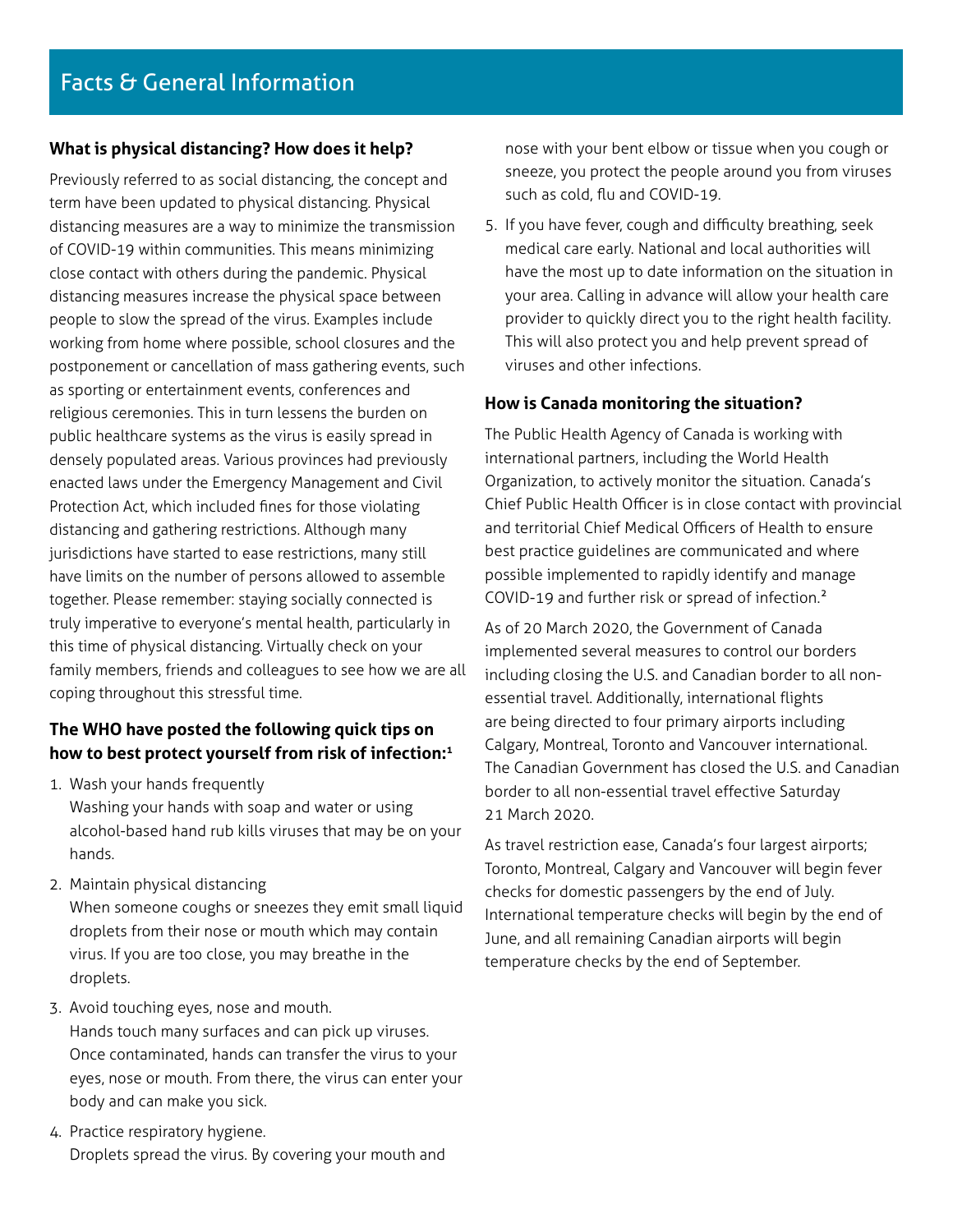# **What is physical distancing? How does it help?**

Previously referred to as social distancing, the concept and term have been updated to physical distancing. Physical distancing measures are a way to minimize the transmission of COVID-19 within communities. This means minimizing close contact with others during the pandemic. Physical distancing measures increase the physical space between people to slow the spread of the virus. Examples include working from home where possible, school closures and the postponement or cancellation of mass gathering events, such as sporting or entertainment events, conferences and religious ceremonies. This in turn lessens the burden on public healthcare systems as the virus is easily spread in densely populated areas. Various provinces had previously enacted laws under the Emergency Management and Civil Protection Act, which included fines for those violating distancing and gathering restrictions. Although many jurisdictions have started to ease restrictions, many still have limits on the number of persons allowed to assemble together. Please remember: staying socially connected is truly imperative to everyone's mental health, particularly in this time of physical distancing. Virtually check on your family members, friends and colleagues to see how we are all coping throughout this stressful time.

# **The WHO have posted the following quick tips on how to best protect yourself from risk of infection:1**

- 1. Wash your hands frequently Washing your hands with soap and water or using alcohol-based hand rub kills viruses that may be on your hands.
- 2. Maintain physical distancing When someone coughs or sneezes they emit small liquid droplets from their nose or mouth which may contain virus. If you are too close, you may breathe in the droplets.
- 3. Avoid touching eyes, nose and mouth. Hands touch many surfaces and can pick up viruses. Once contaminated, hands can transfer the virus to your eyes, nose or mouth. From there, the virus can enter your body and can make you sick.
- 4. Practice respiratory hygiene. Droplets spread the virus. By covering your mouth and

nose with your bent elbow or tissue when you cough or sneeze, you protect the people around you from viruses such as cold, flu and COVID-19.

5. If you have fever, cough and difficulty breathing, seek medical care early. National and local authorities will have the most up to date information on the situation in your area. Calling in advance will allow your health care provider to quickly direct you to the right health facility. This will also protect you and help prevent spread of viruses and other infections.

#### **How is Canada monitoring the situation?**

The Public Health Agency of Canada is working with international partners, including the World Health Organization, to actively monitor the situation. Canada's Chief Public Health Officer is in close contact with provincial and territorial Chief Medical Officers of Health to ensure best practice guidelines are communicated and where possible implemented to rapidly identify and manage COVID-19 and further risk or spread of infection.2

As of 20 March 2020, the Government of Canada implemented several measures to control our borders including closing the U.S. and Canadian border to all nonessential travel. Additionally, international flights are being directed to four primary airports including Calgary, Montreal, Toronto and Vancouver international. The Canadian Government has closed the U.S. and Canadian border to all non-essential travel effective Saturday 21 March 2020.

As travel restriction ease, Canada's four largest airports; Toronto, Montreal, Calgary and Vancouver will begin fever checks for domestic passengers by the end of July. International temperature checks will begin by the end of June, and all remaining Canadian airports will begin temperature checks by the end of September.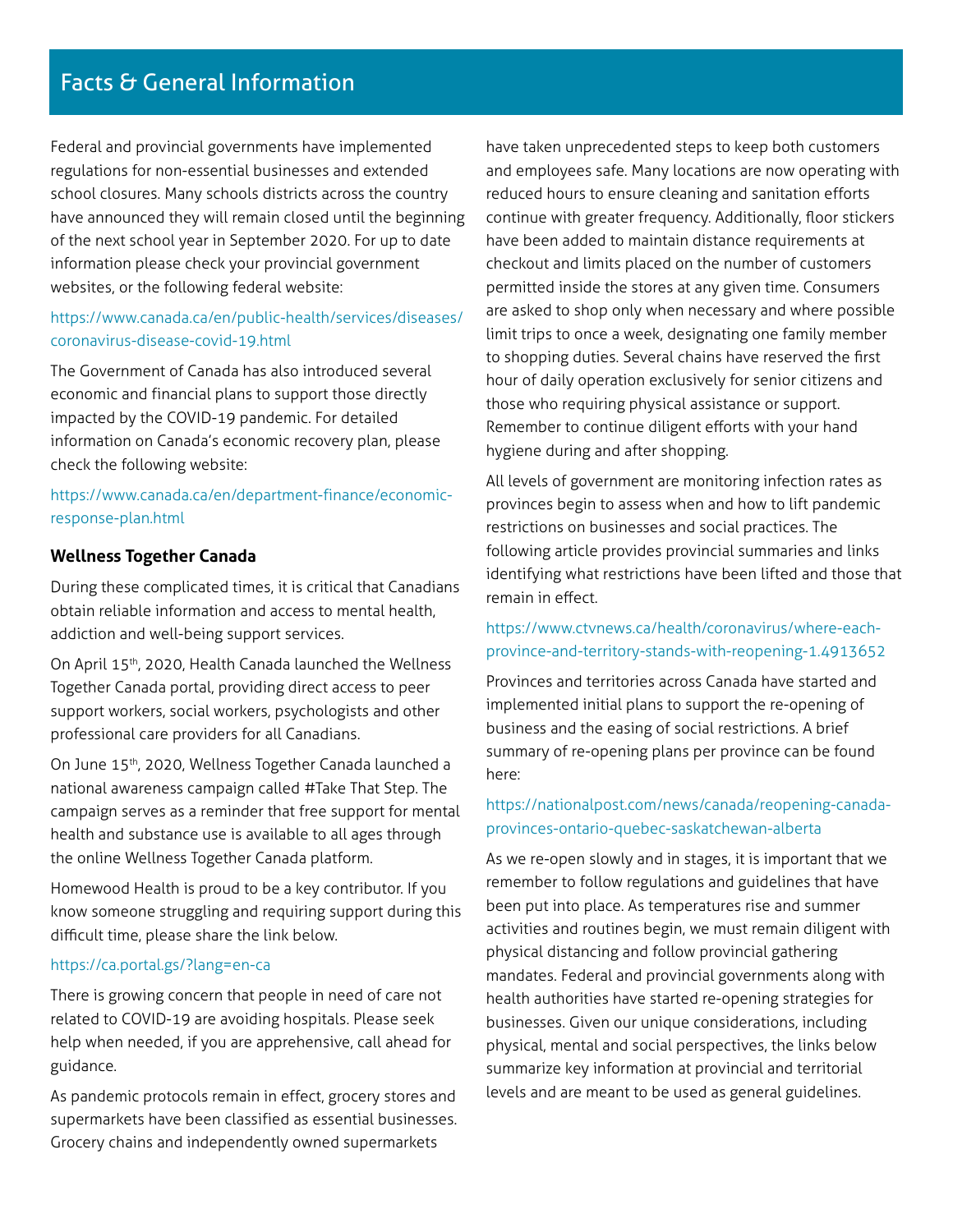Federal and provincial governments have implemented regulations for non-essential businesses and extended school closures. Many schools districts across the country have announced they will remain closed until the beginning of the next school year in September 2020. For up to date information please check your provincial government websites, or the following federal website:

# [https://www.canada.ca/en/public-health/services/diseases/](https://www.canada.ca/en/public-health/services/diseases/coronavirus-disease-covid-19.html) [coronavirus-disease-covid-19.html](https://www.canada.ca/en/public-health/services/diseases/coronavirus-disease-covid-19.html)

The Government of Canada has also introduced several economic and financial plans to support those directly impacted by the COVID-19 pandemic. For detailed information on Canada's economic recovery plan, please check the following website:

# [https://www.canada.ca/en/department-finance/economic](https://www.canada.ca/en/department-finance/economic-response-plan.html)[response-plan.html](https://www.canada.ca/en/department-finance/economic-response-plan.html)

### **Wellness Together Canada**

During these complicated times, it is critical that Canadians obtain reliable information and access to mental health, addiction and well-being support services.

On April 15th, 2020, Health Canada launched the Wellness Together Canada portal, providing direct access to peer support workers, social workers, psychologists and other professional care providers for all Canadians.

On June 15<sup>th</sup>, 2020, Wellness Together Canada launched a national awareness campaign called #Take That Step. The campaign serves as a reminder that free support for mental health and substance use is available to all ages through the online Wellness Together Canada platform.

Homewood Health is proud to be a key contributor. If you know someone struggling and requiring support during this difficult time, please share the link below.

#### <https://ca.portal.gs/?lang=en-ca>

There is growing concern that people in need of care not related to COVID-19 are avoiding hospitals. Please seek help when needed, if you are apprehensive, call ahead for guidance.

As pandemic protocols remain in effect, grocery stores and supermarkets have been classified as essential businesses. Grocery chains and independently owned supermarkets

have taken unprecedented steps to keep both customers and employees safe. Many locations are now operating with reduced hours to ensure cleaning and sanitation efforts continue with greater frequency. Additionally, floor stickers have been added to maintain distance requirements at checkout and limits placed on the number of customers permitted inside the stores at any given time. Consumers are asked to shop only when necessary and where possible limit trips to once a week, designating one family member to shopping duties. Several chains have reserved the first hour of daily operation exclusively for senior citizens and those who requiring physical assistance or support. Remember to continue diligent efforts with your hand hygiene during and after shopping.

All levels of government are monitoring infection rates as provinces begin to assess when and how to lift pandemic restrictions on businesses and social practices. The following article provides provincial summaries and links identifying what restrictions have been lifted and those that remain in effect.

### [https://www.ctvnews.ca/health/coronavirus/where-each](https://www.ctvnews.ca/health/coronavirus/where-each-province-and-territory-stands-with-reopening-1.)[province-and-territory-stands-with-reopening-1.4913652](https://www.ctvnews.ca/health/coronavirus/where-each-province-and-territory-stands-with-reopening-1.)

Provinces and territories across Canada have started and implemented initial plans to support the re-opening of business and the easing of social restrictions. A brief summary of re-opening plans per province can be found here:

# [https://nationalpost.com/news/canada/reopening-canada](https://nationalpost.com/news/canada/reopening-canada-provinces-ontario-quebec-saskatchewan-alberta)[provinces-ontario-quebec-saskatchewan-alberta](https://nationalpost.com/news/canada/reopening-canada-provinces-ontario-quebec-saskatchewan-alberta)

As we re-open slowly and in stages, it is important that we remember to follow regulations and guidelines that have been put into place. As temperatures rise and summer activities and routines begin, we must remain diligent with physical distancing and follow provincial gathering mandates. Federal and provincial governments along with health authorities have started re-opening strategies for businesses. Given our unique considerations, including physical, mental and social perspectives, the links below summarize key information at provincial and territorial levels and are meant to be used as general guidelines.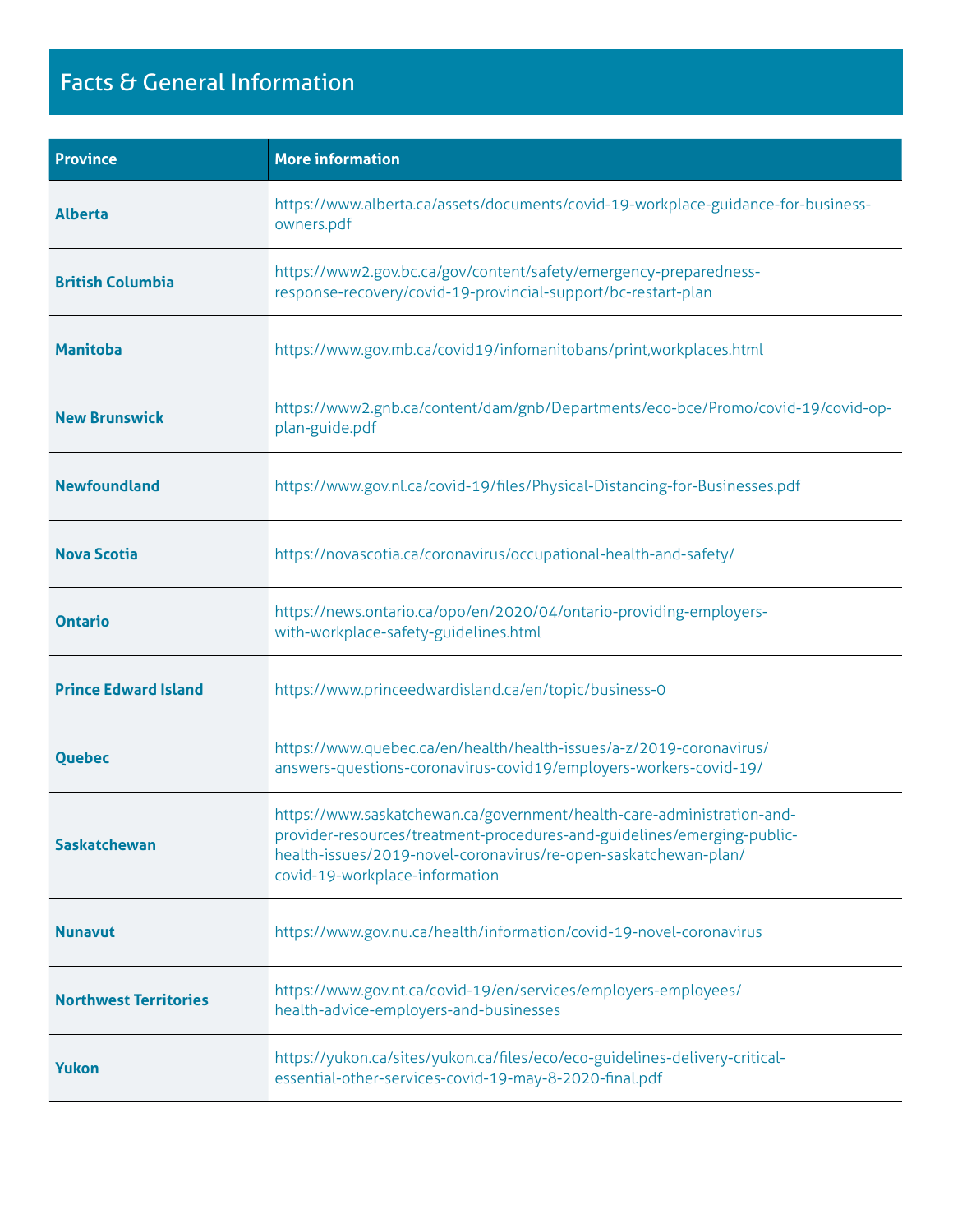# Facts & General Information

| <b>Province</b>              | <b>More information</b>                                                                                                                                                                                                                                |
|------------------------------|--------------------------------------------------------------------------------------------------------------------------------------------------------------------------------------------------------------------------------------------------------|
| <b>Alberta</b>               | https://www.alberta.ca/assets/documents/covid-19-workplace-guidance-for-business-<br>owners.pdf                                                                                                                                                        |
| <b>British Columbia</b>      | https://www2.gov.bc.ca/gov/content/safety/emergency-preparedness-<br>response-recovery/covid-19-provincial-support/bc-restart-plan                                                                                                                     |
| <b>Manitoba</b>              | https://www.gov.mb.ca/covid19/infomanitobans/print,workplaces.html                                                                                                                                                                                     |
| <b>New Brunswick</b>         | https://www2.gnb.ca/content/dam/gnb/Departments/eco-bce/Promo/covid-19/covid-op-<br>plan-guide.pdf                                                                                                                                                     |
| <b>Newfoundland</b>          | https://www.gov.nl.ca/covid-19/files/Physical-Distancing-for-Businesses.pdf                                                                                                                                                                            |
| <b>Nova Scotia</b>           | https://novascotia.ca/coronavirus/occupational-health-and-safety/                                                                                                                                                                                      |
| <b>Ontario</b>               | https://news.ontario.ca/opo/en/2020/04/ontario-providing-employers-<br>with-workplace-safety-guidelines.html                                                                                                                                           |
| <b>Prince Edward Island</b>  | https://www.princeedwardisland.ca/en/topic/business-0                                                                                                                                                                                                  |
| <b>Quebec</b>                | https://www.quebec.ca/en/health/health-issues/a-z/2019-coronavirus/<br>answers-questions-coronavirus-covid19/employers-workers-covid-19/                                                                                                               |
| <b>Saskatchewan</b>          | https://www.saskatchewan.ca/government/health-care-administration-and-<br>provider-resources/treatment-procedures-and-guidelines/emerging-public-<br>health-issues/2019-novel-coronavirus/re-open-saskatchewan-plan/<br>covid-19-workplace-information |
| <b>Nunavut</b>               | https://www.gov.nu.ca/health/information/covid-19-novel-coronavirus                                                                                                                                                                                    |
| <b>Northwest Territories</b> | https://www.gov.nt.ca/covid-19/en/services/employers-employees/<br>health-advice-employers-and-businesses                                                                                                                                              |
| <b>Yukon</b>                 | https://yukon.ca/sites/yukon.ca/files/eco/eco-guidelines-delivery-critical-<br>essential-other-services-covid-19-may-8-2020-final.pdf                                                                                                                  |